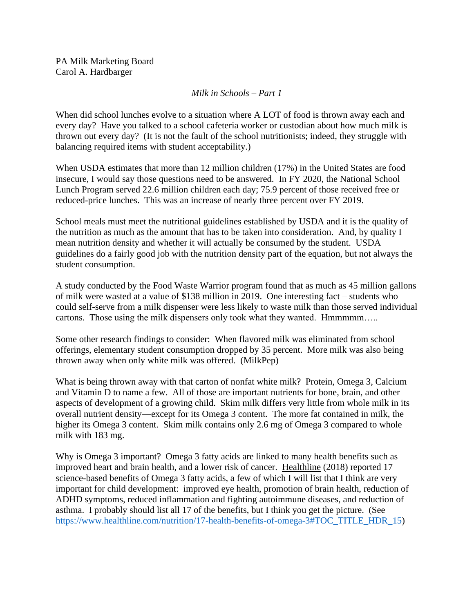PA Milk Marketing Board Carol A. Hardbarger

*Milk in Schools – Part 1*

When did school lunches evolve to a situation where A LOT of food is thrown away each and every day? Have you talked to a school cafeteria worker or custodian about how much milk is thrown out every day? (It is not the fault of the school nutritionists; indeed, they struggle with balancing required items with student acceptability.)

When USDA estimates that more than 12 million children (17%) in the United States are food insecure, I would say those questions need to be answered. In FY 2020, the National School Lunch Program served 22.6 million children each day; 75.9 percent of those received free or reduced-price lunches. This was an increase of nearly three percent over FY 2019.

School meals must meet the nutritional guidelines established by USDA and it is the quality of the nutrition as much as the amount that has to be taken into consideration. And, by quality I mean nutrition density and whether it will actually be consumed by the student. USDA guidelines do a fairly good job with the nutrition density part of the equation, but not always the student consumption.

A study conducted by the Food Waste Warrior program found that as much as 45 million gallons of milk were wasted at a value of \$138 million in 2019. One interesting fact – students who could self-serve from a milk dispenser were less likely to waste milk than those served individual cartons. Those using the milk dispensers only took what they wanted. Hmmmmm…..

Some other research findings to consider: When flavored milk was eliminated from school offerings, elementary student consumption dropped by 35 percent. More milk was also being thrown away when only white milk was offered. (MilkPep)

What is being thrown away with that carton of nonfat white milk? Protein, Omega 3, Calcium and Vitamin D to name a few. All of those are important nutrients for bone, brain, and other aspects of development of a growing child. Skim milk differs very little from whole milk in its overall nutrient density—except for its Omega 3 content. The more fat contained in milk, the higher its Omega 3 content. Skim milk contains only 2.6 mg of Omega 3 compared to whole milk with 183 mg.

Why is Omega 3 important? Omega 3 fatty acids are linked to many health benefits such as improved heart and brain health, and a lower risk of cancer. Healthline (2018) reported 17 science-based benefits of Omega 3 fatty acids, a few of which I will list that I think are very important for child development: improved eye health, promotion of brain health, reduction of ADHD symptoms, reduced inflammation and fighting autoimmune diseases, and reduction of asthma. I probably should list all 17 of the benefits, but I think you get the picture. (See [https://www.healthline.com/nutrition/17-health-benefits-of-omega-3#TOC\\_TITLE\\_HDR\\_15\)](https://www.healthline.com/nutrition/17-health-benefits-of-omega-3#TOC_TITLE_HDR_15)